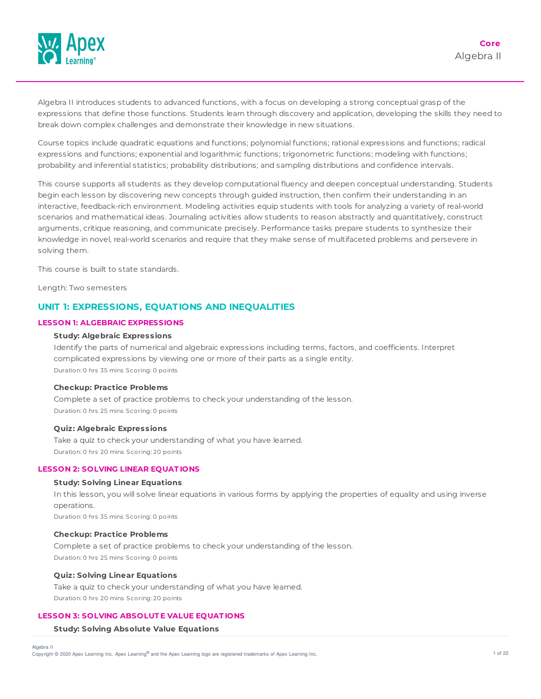

Algebra II introduces students to advanced functions, with a focus on developing a strong conceptual grasp of the expressions that define those functions. Students learn through discovery and application, developing the skills they need to break down complex challenges and demonstrate their knowledge in new situations.

Course topics include quadratic equations and functions; polynomial functions; rational expressions and functions; radical expressions and functions; exponential and logarithmic functions; trigonometric functions; modeling with functions; probability and inferential statistics; probability distributions; and sampling distributions and confidence intervals.

This course supports all students as they develop computational fluency and deepen conceptual understanding. Students begin each lesson by discovering new concepts through guided instruction, then confirm their understanding in an interactive, feedback-rich environment. Modeling activities equip students with tools for analyzing a variety of real-world scenarios and mathematical ideas. Journaling activities allow students to reason abstractly and quantitatively, construct arguments, critique reasoning, and communicate precisely. Performance tasks prepare students to synthesize their knowledge in novel, real-world scenarios and require that they make sense of multifaceted problems and persevere in solving them.

This course is built to state standards.

Length: Two semesters

# **UNIT 1: EXPRESSIONS, EQUATIONS AND INEQUALITIES**

# **LESSON 1: ALGEBRAIC EXPRESSIONS**

### **Study: Algebraic Expressions**

Identify the parts of numerical and algebraic expressions including terms, factors, and coefficients. Interpret complicated expressions by viewing one or more of their parts as a single entity. Duration: 0 hrs 35 mins Scoring: 0 points

### **Checkup: Practice Problems**

Complete a set of practice problems to check your understanding of the lesson. Duration: 0 hrs 25 mins Scoring: 0 points

#### **Quiz: Algebraic Expressions**

Take a quiz to check your understanding of what you have learned. Duration: 0 hrs 20 mins Scoring: 20 points

### **LESSON 2: SOLVING LINEAR EQUAT IONS**

### **Study: Solving Linear Equations**

In this lesson, you will solve linear equations in various forms by applying the properties of equality and using inverse operations.

Duration: 0 hrs 35 mins Scoring: 0 points

### **Checkup: Practice Problems**

Complete a set of practice problems to check your understanding of the lesson. Duration: 0 hrs 25 mins Scoring: 0 points

#### **Quiz: Solving Linear Equations**

Take a quiz to check your understanding of what you have learned. Duration: 0 hrs 20 mins Scoring: 20 points

# **LESSON 3: SOLVING ABSOLUT E VALUE EQUAT IONS**

#### **Study: Solving Absolute Value Equations**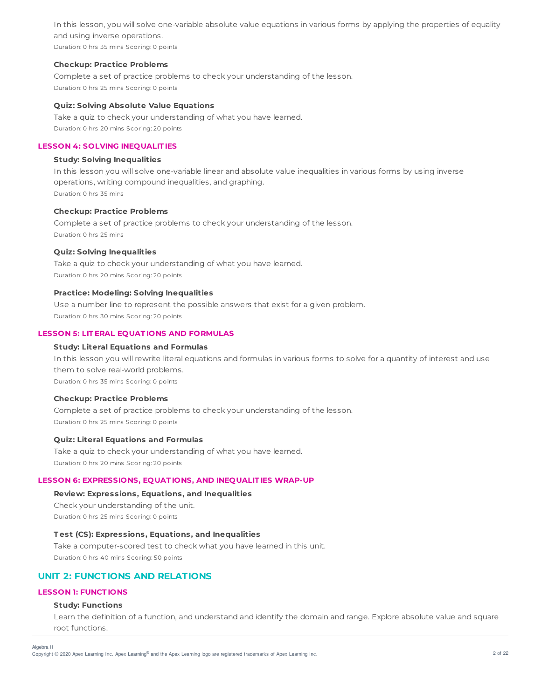In this lesson, you will solve one-variable absolute value equations in various forms by applying the properties of equality and using inverse operations.

Duration: 0 hrs 35 mins Scoring: 0 points

### **Checkup: Practice Problems**

Complete a set of practice problems to check your understanding of the lesson. Duration: 0 hrs 25 mins Scoring: 0 points

### **Quiz: Solving Absolute Value Equations**

Take a quiz to check your understanding of what you have learned. Duration: 0 hrs 20 mins Scoring: 20 points

# **LESSON 4: SOLVING INEQUALIT IES**

### **Study: Solving Inequalities**

In this lesson you will solve one-variable linear and absolute value inequalities in various forms by using inverse operations, writing compound inequalities, and graphing. Duration: 0 hrs 35 mins

### **Checkup: Practice Problems**

Complete a set of practice problems to check your understanding of the lesson. Duration: 0 hrs 25 mins

### **Quiz: Solving Inequalities**

Take a quiz to check your understanding of what you have learned. Duration: 0 hrs 20 mins Scoring: 20 points

### **Practice: Modeling: Solving Inequalities**

Use a number line to represent the possible answers that exist for a given problem. Duration: 0 hrs 30 mins Scoring: 20 points

### **LESSON 5: LIT ERAL EQUAT IONS AND FORMULAS**

#### **Study: Literal Equations and Formulas**

In this lesson you will rewrite literal equations and formulas in various forms to solve for a quantity of interest and use them to solve real-world problems. Duration: 0 hrs 35 mins Scoring: 0 points

#### **Checkup: Practice Problems**

Complete a set of practice problems to check your understanding of the lesson. Duration: 0 hrs 25 mins Scoring: 0 points

### **Quiz: Literal Equations and Formulas**

Take a quiz to check your understanding of what you have learned. Duration: 0 hrs 20 mins Scoring: 20 points

### **LESSON 6: EXPRESSIONS, EQUAT IONS, AND INEQUALIT IES WRAP-UP**

### **Review: Expressions, Equations, and Inequalities**

Check your understanding of the unit. Duration: 0 hrs 25 mins Scoring: 0 points

### **T est (CS): Expressions, Equations, and Inequalities**

Take a computer-scored test to check what you have learned in this unit. Duration: 0 hrs 40 mins Scoring: 50 points

# **UNIT 2: FUNCTIONS AND RELATIONS**

# **LESSON 1: FUNCT IONS**

Algebra II

### **Study: Functions**

Learn the definition of a function, and understand and identify the domain and range. Explore absolute value and square root functions.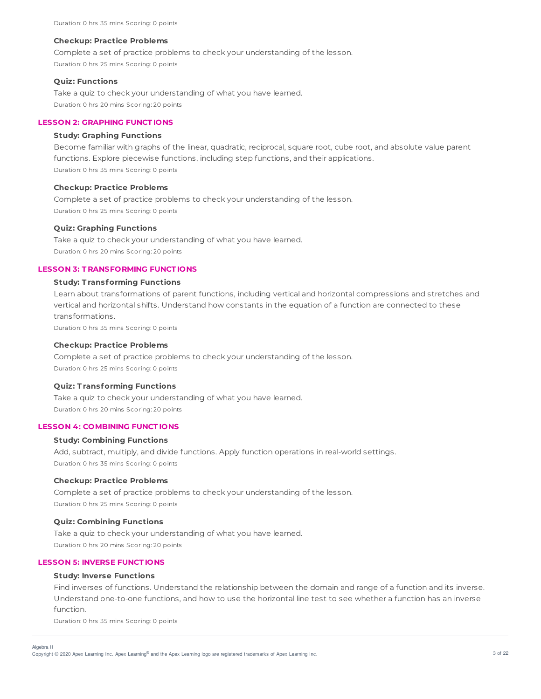Complete a set of practice problems to check your understanding of the lesson. Duration: 0 hrs 25 mins Scoring: 0 points

### **Quiz: Functions**

Take a quiz to check your understanding of what you have learned. Duration: 0 hrs 20 mins Scoring: 20 points

# **LESSON 2: GRAPHING FUNCT IONS**

### **Study: Graphing Functions**

Become familiar with graphs of the linear, quadratic, reciprocal, square root, cube root, and absolute value parent functions. Explore piecewise functions, including step functions, and their applications.

Duration: 0 hrs 35 mins Scoring: 0 points

### **Checkup: Practice Problems**

Complete a set of practice problems to check your understanding of the lesson. Duration: 0 hrs 25 mins Scoring: 0 points

### **Quiz: Graphing Functions**

Take a quiz to check your understanding of what you have learned. Duration: 0 hrs 20 mins Scoring: 20 points

# **LESSON 3: T RANSFORMING FUNCT IONS**

### **Study: T ransforming Functions**

Learn about transformations of parent functions, including vertical and horizontal compressions and stretches and vertical and horizontal shifts. Understand how constants in the equation of a function are connected to these transformations.

Duration: 0 hrs 35 mins Scoring: 0 points

### **Checkup: Practice Problems**

Complete a set of practice problems to check your understanding of the lesson. Duration: 0 hrs 25 mins Scoring: 0 points

#### **Quiz: T ransforming Functions**

Take a quiz to check your understanding of what you have learned. Duration: 0 hrs 20 mins Scoring: 20 points

# **LESSON 4: COMBINING FUNCT IONS**

#### **Study: Combining Functions**

Add, subtract, multiply, and divide functions. Apply function operations in real-world settings. Duration: 0 hrs 35 mins Scoring: 0 points

#### **Checkup: Practice Problems**

Complete a set of practice problems to check your understanding of the lesson. Duration: 0 hrs 25 mins Scoring: 0 points

#### **Quiz: Combining Functions**

Take a quiz to check your understanding of what you have learned. Duration: 0 hrs 20 mins Scoring: 20 points

# **LESSON 5: INVERSE FUNCT IONS**

#### **Study: Inverse Functions**

Find inverses of functions. Understand the relationship between the domain and range of a function and its inverse. Understand one-to-one functions, and how to use the horizontal line test to see whether a function has an inverse function.

Duration: 0 hrs 35 mins Scoring: 0 points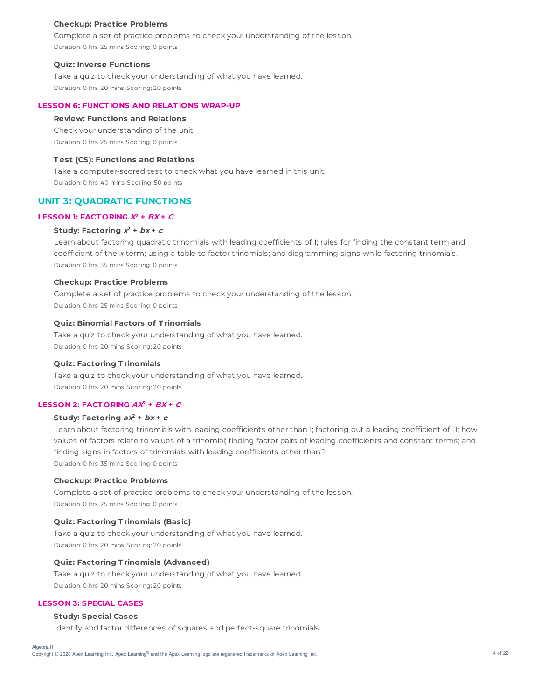Complete a set of practice problems to check your understanding of the lesson. Duration: 0 hrs 25 mins Scoring: 0 points

#### **Quiz: Inverse Functions**

Take a quiz to check your understanding of what you have learned. Duration: 0 hrs 20 mins Scoring: 20 points

### **LESSON 6: FUNCT IONS AND RELAT IONS WRAP-UP**

### **Review: Functions and Relations**

Check your understanding of the unit. Duration: 0 hrs 25 mins Scoring: 0 points

# **T est (CS): Functions and Relations**

Take a computer-scored test to check what you have learned in this unit. Duration: 0 hrs 40 mins Scoring: 50 points

### **UNIT 3: QUADRATIC FUNCTIONS**

### LESSON 1: **FACTORING**  $X^2$  +  $BX$  +  $C$

#### Study: Factoring  $x^2 + bx + c$

Learn about factoring quadratic trinomials with leading coefficients of 1; rules for finding the constant term and coefficient of the <sup>x</sup>-term; using a table to factor trinomials; and diagramming signs while factoring trinomials. Duration: 0 hrs 35 mins Scoring: 0 points

#### **Checkup: Practice Problems**

Complete a set of practice problems to check your understanding of the lesson. Duration: 0 hrs 25 mins Scoring: 0 points

### **Quiz: Binomial Factors of T rinomials**

Take a quiz to check your understanding of what you have learned. Duration: 0 hrs 20 mins Scoring: 20 points

### **Quiz: Factoring T rinomials**

Take a quiz to check your understanding of what you have learned. Duration: 0 hrs 20 mins Scoring: 20 points

#### LESSON 2: **FACTORING**  $AX^2 + BX + C$

#### **Study: Factoring ax <sup>2</sup> + bx + <sup>c</sup>**

Learn about factoring trinomials with leading coefficients other than 1; factoring out a leading coefficient of -1; how values of factors relate to values of a trinomial; finding factor pairs of leading coefficients and constant terms; and finding signs in factors of trinomials with leading coefficients other than 1. Duration: 0 hrs 35 mins Scoring: 0 points

#### **Checkup: Practice Problems**

Complete a set of practice problems to check your understanding of the lesson. Duration: 0 hrs 25 mins Scoring: 0 points

#### **Quiz: Factoring T rinomials (Basic)**

Take a quiz to check your understanding of what you have learned. Duration: 0 hrs 20 mins Scoring: 20 points

### **Quiz: Factoring T rinomials (Advanced)**

Take a quiz to check your understanding of what you have learned. Duration: 0 hrs 20 mins Scoring: 20 points

### **LESSON 3: SPECIAL CASES**

### **Study: Special Cases**

Identify and factor differences of squares and perfect-square trinomials.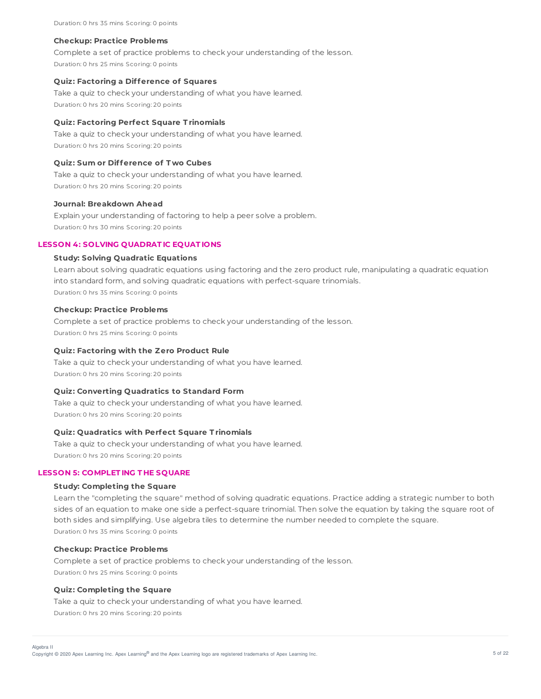Complete a set of practice problems to check your understanding of the lesson. Duration: 0 hrs 25 mins Scoring: 0 points

### **Quiz: Factoring a Difference of Squares**

Take a quiz to check your understanding of what you have learned. Duration: 0 hrs 20 mins Scoring: 20 points

### **Quiz: Factoring Perfect Square T rinomials**

Take a quiz to check your understanding of what you have learned. Duration: 0 hrs 20 mins Scoring: 20 points

### **Quiz: Sum or Difference of T wo Cubes**

Take a quiz to check your understanding of what you have learned. Duration: 0 hrs 20 mins Scoring: 20 points

### **Journal: Breakdown Ahead**

Explain your understanding of factoring to help a peer solve a problem. Duration: 0 hrs 30 mins Scoring: 20 points

### **LESSON 4: SOLVING QUADRAT IC EQUAT IONS**

#### **Study: Solving Quadratic Equations**

Learn about solving quadratic equations using factoring and the zero product rule, manipulating a quadratic equation into standard form, and solving quadratic equations with perfect-square trinomials. Duration: 0 hrs 35 mins Scoring: 0 points

### **Checkup: Practice Problems**

Complete a set of practice problems to check your understanding of the lesson. Duration: 0 hrs 25 mins Scoring: 0 points

### **Quiz: Factoring with the Zero Product Rule**

Take a quiz to check your understanding of what you have learned. Duration: 0 hrs 20 mins Scoring: 20 points

### **Quiz: Converting Quadratics to Standard Form**

Take a quiz to check your understanding of what you have learned. Duration: 0 hrs 20 mins Scoring: 20 points

### **Quiz: Quadratics with Perfect Square T rinomials**

Take a quiz to check your understanding of what you have learned. Duration: 0 hrs 20 mins Scoring: 20 points

### **LESSON 5: COMPLET ING T HE SQUARE**

#### **Study: Completing the Square**

Learn the "completing the square" method of solving quadratic equations. Practice adding a strategic number to both sides of an equation to make one side a perfect-square trinomial. Then solve the equation by taking the square root of both sides and simplifying. Use algebra tiles to determine the number needed to complete the square. Duration: 0 hrs 35 mins Scoring: 0 points

#### **Checkup: Practice Problems**

Complete a set of practice problems to check your understanding of the lesson. Duration: 0 hrs 25 mins Scoring: 0 points

#### **Quiz: Completing the Square**

Algebra II

Take a quiz to check your understanding of what you have learned. Duration: 0 hrs 20 mins Scoring: 20 points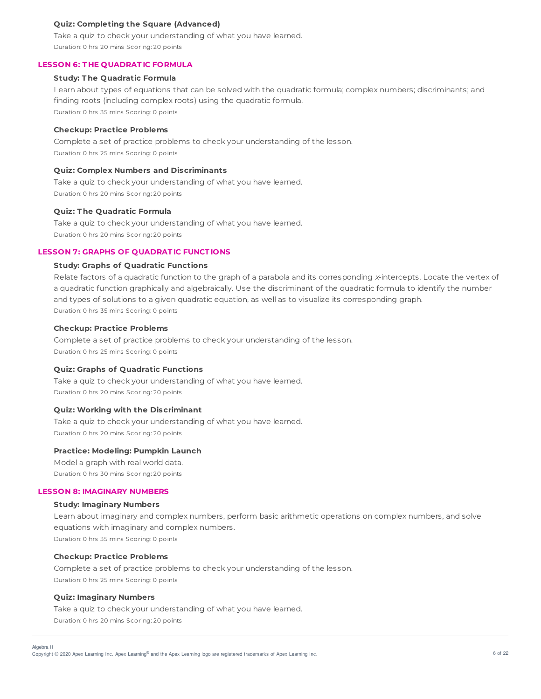### **Quiz: Completing the Square (Advanced)**

Take a quiz to check your understanding of what you have learned. Duration: 0 hrs 20 mins Scoring: 20 points

### **LESSON 6: T HE QUADRAT IC FORMULA**

### **Study: T he Quadratic Formula**

Learn about types of equations that can be solved with the quadratic formula; complex numbers; discriminants; and finding roots (including complex roots) using the quadratic formula. Duration: 0 hrs 35 mins Scoring: 0 points

### **Checkup: Practice Problems**

Complete a set of practice problems to check your understanding of the lesson. Duration: 0 hrs 25 mins Scoring: 0 points

### **Quiz: Complex Numbers and Discriminants**

Take a quiz to check your understanding of what you have learned. Duration: 0 hrs 20 mins Scoring: 20 points

### **Quiz: T he Quadratic Formula**

Take a quiz to check your understanding of what you have learned. Duration: 0 hrs 20 mins Scoring: 20 points

# **LESSON 7: GRAPHS OF QUADRAT IC FUNCT IONS**

#### **Study: Graphs of Quadratic Functions**

Relate factors of a quadratic function to the graph of a parabola and its corresponding x-intercepts. Locate the vertex of a quadratic function graphically and algebraically. Use the discriminant of the quadratic formula to identify the number and types of solutions to a given quadratic equation, as well as to visualize its corresponding graph. Duration: 0 hrs 35 mins Scoring: 0 points

#### **Checkup: Practice Problems**

Complete a set of practice problems to check your understanding of the lesson. Duration: 0 hrs 25 mins Scoring: 0 points

#### **Quiz: Graphs of Quadratic Functions**

Take a quiz to check your understanding of what you have learned. Duration: 0 hrs 20 mins Scoring: 20 points

#### **Quiz: Working with the Discriminant**

Take a quiz to check your understanding of what you have learned. Duration: 0 hrs 20 mins Scoring: 20 points

### **Practice: Modeling: Pumpkin Launch**

Model a graph with real world data. Duration: 0 hrs 30 mins Scoring: 20 points

#### **LESSON 8: IMAGINARY NUMBERS**

#### **Study: Imaginary Numbers**

Learn about imaginary and complex numbers, perform basic arithmetic operations on complex numbers, and solve equations with imaginary and complex numbers. Duration: 0 hrs 35 mins Scoring: 0 points

#### **Checkup: Practice Problems**

Complete a set of practice problems to check your understanding of the lesson. Duration: 0 hrs 25 mins Scoring: 0 points

#### **Quiz: Imaginary Numbers**

Algebra II

Take a quiz to check your understanding of what you have learned. Duration: 0 hrs 20 mins Scoring: 20 points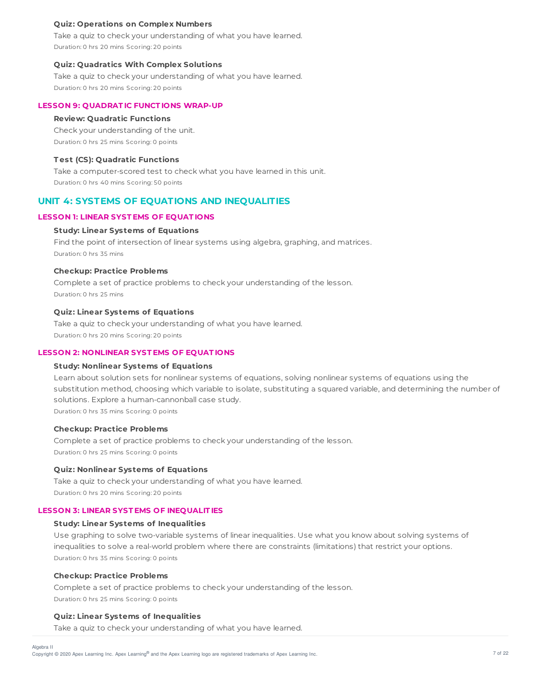### **Quiz: Operations on Complex Numbers**

Take a quiz to check your understanding of what you have learned. Duration: 0 hrs 20 mins Scoring: 20 points

#### **Quiz: Quadratics With Complex Solutions**

Take a quiz to check your understanding of what you have learned. Duration: 0 hrs 20 mins Scoring: 20 points

### **LESSON 9: QUADRAT IC FUNCT IONS WRAP-UP**

#### **Review: Quadratic Functions**

Check your understanding of the unit. Duration: 0 hrs 25 mins Scoring: 0 points

# **T est (CS): Quadratic Functions**

Take a computer-scored test to check what you have learned in this unit. Duration: 0 hrs 40 mins Scoring: 50 points

# **UNIT 4: SYSTEMS OF EQUATIONS AND INEQUALITIES**

### **LESSON 1: LINEAR SYST EMS OF EQUAT IONS**

#### **Study: Linear Systems of Equations**

Find the point of intersection of linear systems using algebra, graphing, and matrices. Duration: 0 hrs 35 mins

### **Checkup: Practice Problems**

Complete a set of practice problems to check your understanding of the lesson. Duration: 0 hrs 25 mins

#### **Quiz: Linear Systems of Equations**

Take a quiz to check your understanding of what you have learned. Duration: 0 hrs 20 mins Scoring: 20 points

### **LESSON 2: NONLINEAR SYST EMS OF EQUAT IONS**

#### **Study: Nonlinear Systems of Equations**

Learn about solution sets for nonlinear systems of equations, solving nonlinear systems of equations using the substitution method, choosing which variable to isolate, substituting a squared variable, and determining the number of solutions. Explore a human-cannonball case study. Duration: 0 hrs 35 mins Scoring: 0 points

#### **Checkup: Practice Problems**

Complete a set of practice problems to check your understanding of the lesson. Duration: 0 hrs 25 mins Scoring: 0 points

### **Quiz: Nonlinear Systems of Equations**

Take a quiz to check your understanding of what you have learned. Duration: 0 hrs 20 mins Scoring: 20 points

#### **LESSON 3: LINEAR SYST EMS OF INEQUALIT IES**

### **Study: Linear Systems of Inequalities**

Use graphing to solve two-variable systems of linear inequalities. Use what you know about solving systems of inequalities to solve a real-world problem where there are constraints (limitations) that restrict your options. Duration: 0 hrs 35 mins Scoring: 0 points

#### **Checkup: Practice Problems**

Algebra II

Complete a set of practice problems to check your understanding of the lesson. Duration: 0 hrs 25 mins Scoring: 0 points

### **Quiz: Linear Systems of Inequalities**

Take a quiz to check your understanding of what you have learned.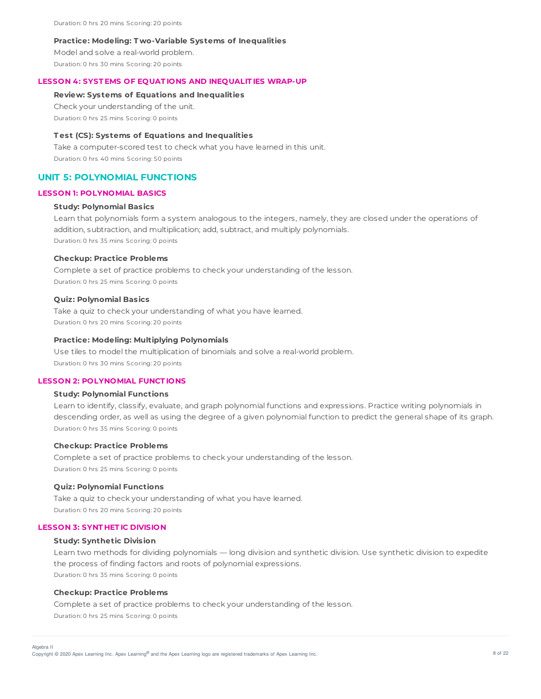Duration: 0 hrs 20 mins Scoring: 20 points

#### **Practice: Modeling: T wo-Variable Systems of Inequalities**

Model and solve a real-world problem. Duration: 0 hrs 30 mins Scoring: 20 points

#### **LESSON 4: SYST EMS OF EQUAT IONS AND INEQUALIT IES WRAP-UP**

#### **Review: Systems of Equations and Inequalities**

Check your understanding of the unit.

Duration: 0 hrs 25 mins Scoring: 0 points

### **T est (CS): Systems of Equations and Inequalities**

Take a computer-scored test to check what you have learned in this unit. Duration: 0 hrs 40 mins Scoring: 50 points

# **UNIT 5: POLYNOMIAL FUNCTIONS**

### **LESSON 1: POLYNOMIAL BASICS**

### **Study: Polynomial Basics**

Learn that polynomials form a system analogous to the integers, namely, they are closed under the operations of addition, subtraction, and multiplication; add, subtract, and multiply polynomials. Duration: 0 hrs 35 mins Scoring: 0 points

#### **Checkup: Practice Problems**

Complete a set of practice problems to check your understanding of the lesson. Duration: 0 hrs 25 mins Scoring: 0 points

#### **Quiz: Polynomial Basics**

Take a quiz to check your understanding of what you have learned. Duration: 0 hrs 20 mins Scoring: 20 points

### **Practice: Modeling: Multiplying Polynomials**

Use tiles to model the multiplication of binomials and solve a real-world problem. Duration: 0 hrs 30 mins Scoring: 20 points

### **LESSON 2: POLYNOMIAL FUNCT IONS**

## **Study: Polynomial Functions**

Learn to identify, classify, evaluate, and graph polynomial functions and expressions. Practice writing polynomials in descending order, as well as using the degree of a given polynomial function to predict the general shape of its graph. Duration: 0 hrs 35 mins Scoring: 0 points

### **Checkup: Practice Problems**

Complete a set of practice problems to check your understanding of the lesson. Duration: 0 hrs 25 mins Scoring: 0 points

#### **Quiz: Polynomial Functions**

Take a quiz to check your understanding of what you have learned. Duration: 0 hrs 20 mins Scoring: 20 points

### **LESSON 3: SYNT HET IC DIVISION**

#### **Study: Synthetic Division**

Learn two methods for dividing polynomials — long division and synthetic division. Use synthetic division to expedite the process of finding factors and roots of polynomial expressions. Duration: 0 hrs 35 mins Scoring: 0 points

### **Checkup: Practice Problems**

Complete a set of practice problems to check your understanding of the lesson. Duration: 0 hrs 25 mins Scoring: 0 points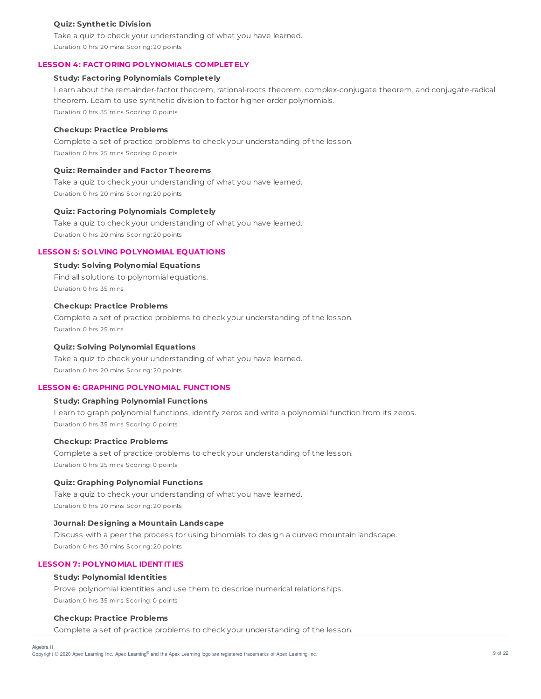### **Quiz: Synthetic Division**

Take a quiz to check your understanding of what you have learned. Duration: 0 hrs 20 mins Scoring: 20 points

### **LESSON 4: FACT ORING POLYNOMIALS COMPLET ELY**

### **Study: Factoring Polynomials Completely**

Learn about the remainder-factor theorem, rational-roots theorem, complex-conjugate theorem, and conjugate-radical theorem. Learn to use synthetic division to factor higher-order polynomials. Duration: 0 hrs 35 mins Scoring: 0 points

### **Checkup: Practice Problems**

Complete a set of practice problems to check your understanding of the lesson. Duration: 0 hrs 25 mins Scoring: 0 points

### **Quiz: Remainder and Factor T heorems**

Take a quiz to check your understanding of what you have learned. Duration: 0 hrs 20 mins Scoring: 20 points

#### **Quiz: Factoring Polynomials Completely**

Take a quiz to check your understanding of what you have learned. Duration: 0 hrs 20 mins Scoring: 20 points

# **LESSON 5: SOLVING POLYNOMIAL EQUAT IONS**

#### **Study: Solving Polynomial Equations**

Find all solutions to polynomial equations. Duration: 0 hrs 35 mins

# **Checkup: Practice Problems**

Complete a set of practice problems to check your understanding of the lesson. Duration: 0 hrs 25 mins

### **Quiz: Solving Polynomial Equations**

Take a quiz to check your understanding of what you have learned. Duration: 0 hrs 20 mins Scoring: 20 points

# **LESSON 6: GRAPHING POLYNOMIAL FUNCT IONS**

### **Study: Graphing Polynomial Functions**

Learn to graph polynomial functions, identify zeros and write a polynomial function from its zeros. Duration: 0 hrs 35 mins Scoring: 0 points

### **Checkup: Practice Problems**

Complete a set of practice problems to check your understanding of the lesson. Duration: 0 hrs 25 mins Scoring: 0 points

### **Quiz: Graphing Polynomial Functions**

Take a quiz to check your understanding of what you have learned. Duration: 0 hrs 20 mins Scoring: 20 points

### **Journal: Designing a Mountain Landscape**

Discuss with a peer the process for using binomials to design a curved mountain landscape. Duration: 0 hrs 30 mins Scoring: 20 points

### **LESSON 7: POLYNOMIAL IDENT IT IES**

### **Study: Polynomial Identities**

Prove polynomial identities and use them to describe numerical relationships. Duration: 0 hrs 35 mins Scoring: 0 points

#### **Checkup: Practice Problems**

Complete a set of practice problems to check your understanding of the lesson.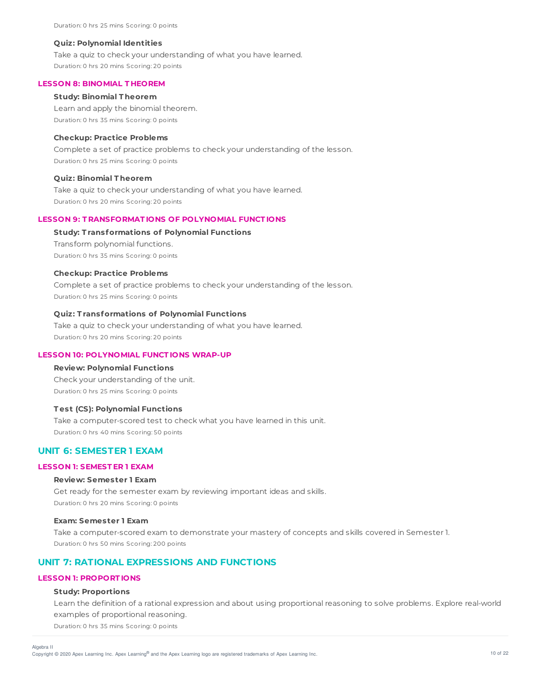### **Quiz: Polynomial Identities**

Take a quiz to check your understanding of what you have learned. Duration: 0 hrs 20 mins Scoring: 20 points

#### **LESSON 8: BINOMIAL T HEOREM**

### **Study: Binomial T heorem**

Learn and apply the binomial theorem.

Duration: 0 hrs 35 mins Scoring: 0 points

### **Checkup: Practice Problems**

Complete a set of practice problems to check your understanding of the lesson. Duration: 0 hrs 25 mins Scoring: 0 points

### **Quiz: Binomial T heorem**

Take a quiz to check your understanding of what you have learned. Duration: 0 hrs 20 mins Scoring: 20 points

### **LESSON 9: T RANSFORMAT IONS OF POLYNOMIAL FUNCT IONS**

### **Study: T ransformations of Polynomial Functions**

Transform polynomial functions. Duration: 0 hrs 35 mins Scoring: 0 points

#### **Checkup: Practice Problems**

Complete a set of practice problems to check your understanding of the lesson. Duration: 0 hrs 25 mins Scoring: 0 points

### **Quiz: T ransformations of Polynomial Functions**

Take a quiz to check your understanding of what you have learned. Duration: 0 hrs 20 mins Scoring: 20 points

# **LESSON 10: POLYNOMIAL FUNCT IONS WRAP-UP**

### **Review: Polynomial Functions**

Check your understanding of the unit. Duration: 0 hrs 25 mins Scoring: 0 points

### **T est (CS): Polynomial Functions**

Take a computer-scored test to check what you have learned in this unit. Duration: 0 hrs 40 mins Scoring: 50 points

# **UNIT 6: SEMESTER 1 EXAM**

### **LESSON 1: SEMEST ER 1 EXAM**

### **Review: Semester 1 Exam**

Get ready for the semester exam by reviewing important ideas and skills. Duration: 0 hrs 20 mins Scoring: 0 points

#### **Exam: Semester 1 Exam**

Take a computer-scored exam to demonstrate your mastery of concepts and skills covered in Semester 1. Duration: 0 hrs 50 mins Scoring: 200 points

# **UNIT 7: RATIONAL EXPRESSIONS AND FUNCTIONS**

# **LESSON 1: PROPORT IONS**

### **Study: Proportions**

Algebra II

Learn the definition of a rational expression and about using proportional reasoning to solve problems. Explore real-world examples of proportional reasoning.

Duration: 0 hrs 35 mins Scoring: 0 points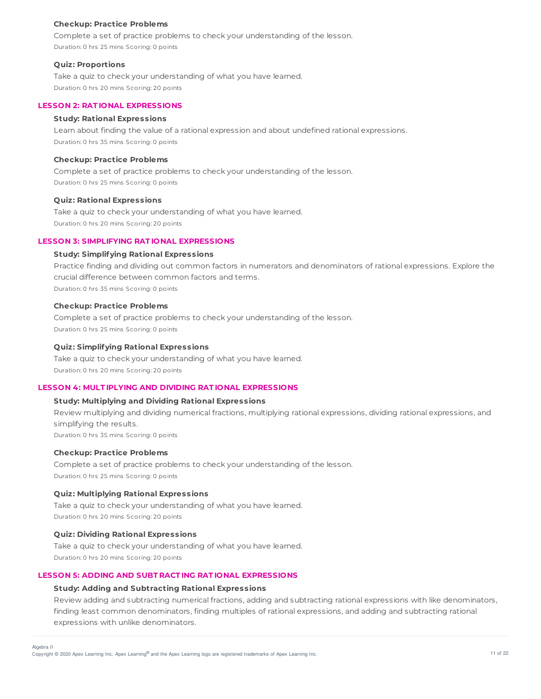Complete a set of practice problems to check your understanding of the lesson. Duration: 0 hrs 25 mins Scoring: 0 points

### **Quiz: Proportions**

Take a quiz to check your understanding of what you have learned. Duration: 0 hrs 20 mins Scoring: 20 points

### **LESSON 2: RAT IONAL EXPRESSIONS**

### **Study: Rational Expressions**

Learn about finding the value of a rational expression and about undefined rational expressions. Duration: 0 hrs 35 mins Scoring: 0 points

# **Checkup: Practice Problems**

Complete a set of practice problems to check your understanding of the lesson. Duration: 0 hrs 25 mins Scoring: 0 points

### **Quiz: Rational Expressions**

Take a quiz to check your understanding of what you have learned. Duration: 0 hrs 20 mins Scoring: 20 points

### **LESSON 3: SIMPLIFYING RAT IONAL EXPRESSIONS**

### **Study: Simplifying Rational Expressions**

Practice finding and dividing out common factors in numerators and denominators of rational expressions. Explore the crucial difference between common factors and terms. Duration: 0 hrs 35 mins Scoring: 0 points

### **Checkup: Practice Problems**

Complete a set of practice problems to check your understanding of the lesson. Duration: 0 hrs 25 mins Scoring: 0 points

#### **Quiz: Simplifying Rational Expressions**

Take a quiz to check your understanding of what you have learned. Duration: 0 hrs 20 mins Scoring: 20 points

# **LESSON 4: MULT IPLYING AND DIVIDING RAT IONAL EXPRESSIONS**

# **Study: Multiplying and Dividing Rational Expressions**

Review multiplying and dividing numerical fractions, multiplying rational expressions, dividing rational expressions, and simplifying the results. Duration: 0 hrs 35 mins Scoring: 0 points

# **Checkup: Practice Problems**

Complete a set of practice problems to check your understanding of the lesson. Duration: 0 hrs 25 mins Scoring: 0 points

### **Quiz: Multiplying Rational Expressions**

Take a quiz to check your understanding of what you have learned. Duration: 0 hrs 20 mins Scoring: 20 points

### **Quiz: Dividing Rational Expressions**

Take a quiz to check your understanding of what you have learned. Duration: 0 hrs 20 mins Scoring: 20 points

### **LESSON 5: ADDING AND SUBT RACT ING RAT IONAL EXPRESSIONS**

### **Study: Adding and Subtracting Rational Expressions**

Review adding and subtracting numerical fractions, adding and subtracting rational expressions with like denominators, finding least common denominators, finding multiples of rational expressions, and adding and subtracting rational expressions with unlike denominators.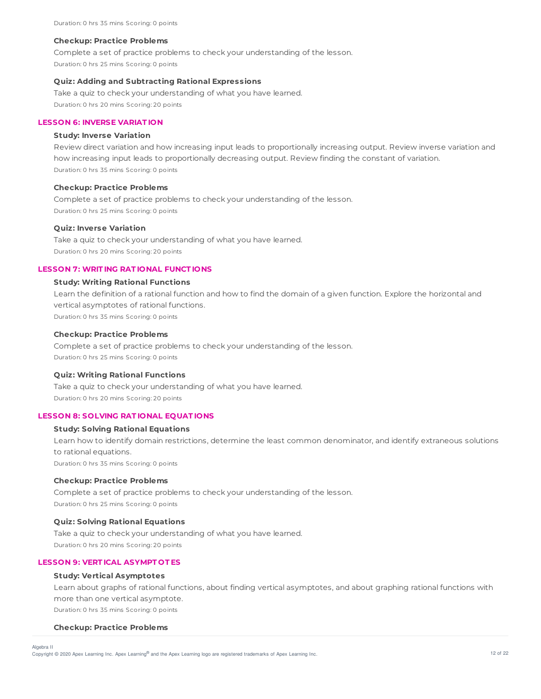Complete a set of practice problems to check your understanding of the lesson. Duration: 0 hrs 25 mins Scoring: 0 points

### **Quiz: Adding and Subtracting Rational Expressions**

Take a quiz to check your understanding of what you have learned. Duration: 0 hrs 20 mins Scoring: 20 points

# **LESSON 6: INVERSE VARIAT ION**

### **Study: Inverse Variation**

Review direct variation and how increasing input leads to proportionally increasing output. Review inverse variation and how increasing input leads to proportionally decreasing output. Review finding the constant of variation. Duration: 0 hrs 35 mins Scoring: 0 points

#### **Checkup: Practice Problems**

Complete a set of practice problems to check your understanding of the lesson. Duration: 0 hrs 25 mins Scoring: 0 points

### **Quiz: Inverse Variation**

Take a quiz to check your understanding of what you have learned. Duration: 0 hrs 20 mins Scoring: 20 points

# **LESSON 7: WRIT ING RAT IONAL FUNCT IONS**

### **Study: Writing Rational Functions**

Learn the definition of a rational function and how to find the domain of a given function. Explore the horizontal and vertical asymptotes of rational functions.

Duration: 0 hrs 35 mins Scoring: 0 points

### **Checkup: Practice Problems**

Complete a set of practice problems to check your understanding of the lesson. Duration: 0 hrs 25 mins Scoring: 0 points

### **Quiz: Writing Rational Functions**

Take a quiz to check your understanding of what you have learned. Duration: 0 hrs 20 mins Scoring: 20 points

### **LESSON 8: SOLVING RAT IONAL EQUAT IONS**

# **Study: Solving Rational Equations**

Learn how to identify domain restrictions, determine the least common denominator, and identify extraneous solutions to rational equations. Duration: 0 hrs 35 mins Scoring: 0 points

#### **Checkup: Practice Problems**

Complete a set of practice problems to check your understanding of the lesson. Duration: 0 hrs 25 mins Scoring: 0 points

#### **Quiz: Solving Rational Equations**

Take a quiz to check your understanding of what you have learned. Duration: 0 hrs 20 mins Scoring: 20 points

# **LESSON 9: VERT ICAL ASYMPT OT ES**

#### **Study: Vertical Asymptotes**

Learn about graphs of rational functions, about finding vertical asymptotes, and about graphing rational functions with more than one vertical asymptote. Duration: 0 hrs 35 mins Scoring: 0 points

#### **Checkup: Practice Problems**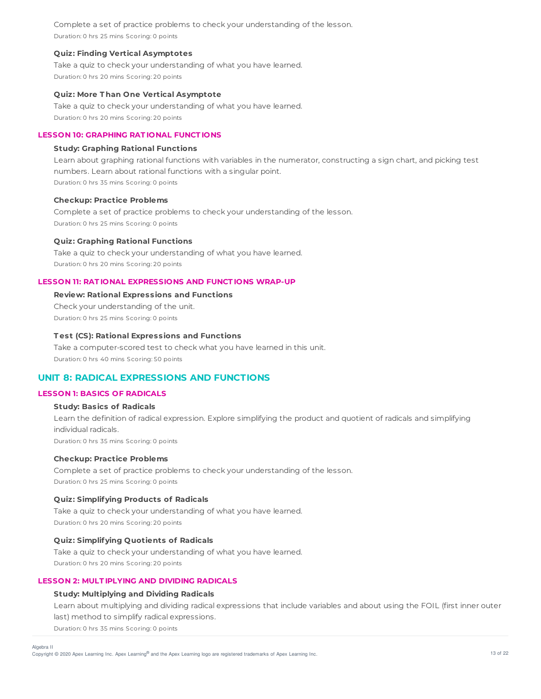Complete a set of practice problems to check your understanding of the lesson. Duration: 0 hrs 25 mins Scoring: 0 points

### **Quiz: Finding Vertical Asymptotes**

Take a quiz to check your understanding of what you have learned. Duration: 0 hrs 20 mins Scoring: 20 points

#### **Quiz: More T han One Vertical Asymptote**

Take a quiz to check your understanding of what you have learned. Duration: 0 hrs 20 mins Scoring: 20 points

### **LESSON 10: GRAPHING RAT IONAL FUNCT IONS**

### **Study: Graphing Rational Functions**

Learn about graphing rational functions with variables in the numerator, constructing a sign chart, and picking test numbers. Learn about rational functions with a singular point. Duration: 0 hrs 35 mins Scoring: 0 points

#### **Checkup: Practice Problems**

Complete a set of practice problems to check your understanding of the lesson. Duration: 0 hrs 25 mins Scoring: 0 points

#### **Quiz: Graphing Rational Functions**

Take a quiz to check your understanding of what you have learned. Duration: 0 hrs 20 mins Scoring: 20 points

### **LESSON 11: RAT IONAL EXPRESSIONS AND FUNCT IONS WRAP-UP**

# **Review: Rational Expressions and Functions** Check your understanding of the unit. Duration: 0 hrs 25 mins Scoring: 0 points

### **T est (CS): Rational Expressions and Functions**

Take a computer-scored test to check what you have learned in this unit. Duration: 0 hrs 40 mins Scoring: 50 points

# **UNIT 8: RADICAL EXPRESSIONS AND FUNCTIONS**

## **LESSON 1: BASICS OF RADICALS**

# **Study: Basics of Radicals**

Learn the definition of radical expression. Explore simplifying the product and quotient of radicals and simplifying individual radicals. Duration: 0 hrs 35 mins Scoring: 0 points

### **Checkup: Practice Problems**

Complete a set of practice problems to check your understanding of the lesson. Duration: 0 hrs 25 mins Scoring: 0 points

### **Quiz: Simplifying Products of Radicals**

Take a quiz to check your understanding of what you have learned. Duration: 0 hrs 20 mins Scoring: 20 points

#### **Quiz: Simplifying Quotients of Radicals**

Take a quiz to check your understanding of what you have learned. Duration: 0 hrs 20 mins Scoring: 20 points

### **LESSON 2: MULT IPLYING AND DIVIDING RADICALS**

### **Study: Multiplying and Dividing Radicals**

Learn about multiplying and dividing radical expressions that include variables and about using the FOIL (first inner outer last) method to simplify radical expressions.

Duration: 0 hrs 35 mins Scoring: 0 points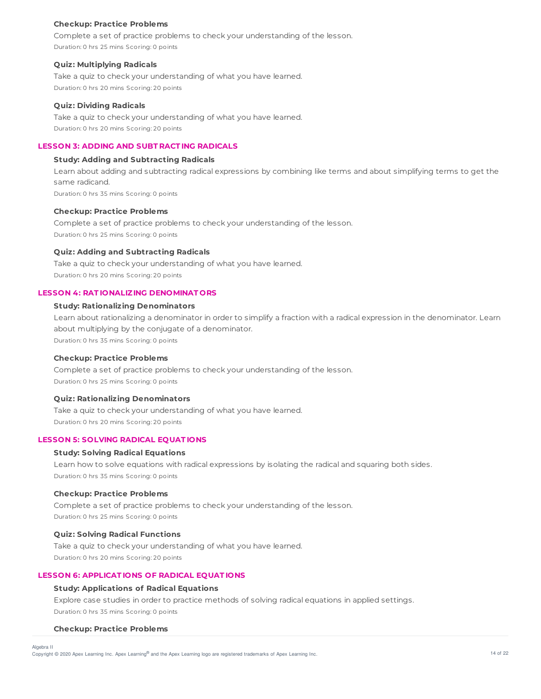Complete a set of practice problems to check your understanding of the lesson. Duration: 0 hrs 25 mins Scoring: 0 points

#### **Quiz: Multiplying Radicals**

Take a quiz to check your understanding of what you have learned. Duration: 0 hrs 20 mins Scoring: 20 points

### **Quiz: Dividing Radicals**

Take a quiz to check your understanding of what you have learned. Duration: 0 hrs 20 mins Scoring: 20 points

## **LESSON 3: ADDING AND SUBT RACT ING RADICALS**

# **Study: Adding and Subtracting Radicals**

Learn about adding and subtracting radical expressions by combining like terms and about simplifying terms to get the same radicand. Duration: 0 hrs 35 mins Scoring: 0 points

#### **Checkup: Practice Problems**

Complete a set of practice problems to check your understanding of the lesson. Duration: 0 hrs 25 mins Scoring: 0 points

### **Quiz: Adding and Subtracting Radicals**

Take a quiz to check your understanding of what you have learned. Duration: 0 hrs 20 mins Scoring: 20 points

#### **LESSON 4: RAT IONALIZING DENOMINAT ORS**

### **Study: Rationalizing Denominators**

Learn about rationalizing a denominator in order to simplify a fraction with a radical expression in the denominator. Learn about multiplying by the conjugate of a denominator. Duration: 0 hrs 35 mins Scoring: 0 points

### **Checkup: Practice Problems**

Complete a set of practice problems to check your understanding of the lesson. Duration: 0 hrs 25 mins Scoring: 0 points

### **Quiz: Rationalizing Denominators**

Take a quiz to check your understanding of what you have learned. Duration: 0 hrs 20 mins Scoring: 20 points

# **LESSON 5: SOLVING RADICAL EQUAT IONS**

### **Study: Solving Radical Equations**

Learn how to solve equations with radical expressions by isolating the radical and squaring both sides. Duration: 0 hrs 35 mins Scoring: 0 points

### **Checkup: Practice Problems**

Complete a set of practice problems to check your understanding of the lesson. Duration: 0 hrs 25 mins Scoring: 0 points

### **Quiz: Solving Radical Functions**

Take a quiz to check your understanding of what you have learned. Duration: 0 hrs 20 mins Scoring: 20 points

### **LESSON 6: APPLICAT IONS OF RADICAL EQUAT IONS**

### **Study: Applications of Radical Equations**

Explore case studies in order to practice methods of solving radical equations in applied settings. Duration: 0 hrs 35 mins Scoring: 0 points

#### **Checkup: Practice Problems**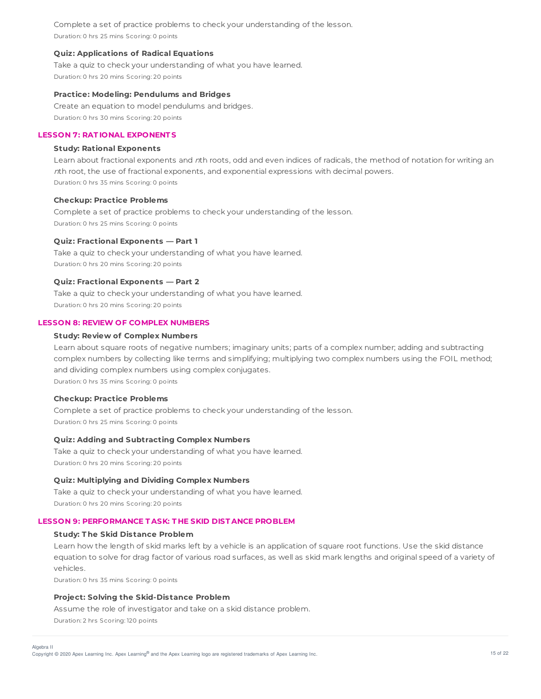Complete a set of practice problems to check your understanding of the lesson. Duration: 0 hrs 25 mins Scoring: 0 points

### **Quiz: Applications of Radical Equations**

Take a quiz to check your understanding of what you have learned. Duration: 0 hrs 20 mins Scoring: 20 points

#### **Practice: Modeling: Pendulums and Bridges**

Create an equation to model pendulums and bridges. Duration: 0 hrs 30 mins Scoring: 20 points

### **LESSON 7: RAT IONAL EXPONENT S**

### **Study: Rational Exponents**

Learn about fractional exponents and nth roots, odd and even indices of radicals, the method of notation for writing an <sup>n</sup>th root, the use of fractional exponents, and exponential expressions with decimal powers. Duration: 0 hrs 35 mins Scoring: 0 points

#### **Checkup: Practice Problems**

Complete a set of practice problems to check your understanding of the lesson. Duration: 0 hrs 25 mins Scoring: 0 points

### **Quiz: Fractional Exponents — Part 1**

Take a quiz to check your understanding of what you have learned. Duration: 0 hrs 20 mins Scoring: 20 points

### **Quiz: Fractional Exponents — Part 2**

Take a quiz to check your understanding of what you have learned. Duration: 0 hrs 20 mins Scoring: 20 points

### **LESSON 8: REVIEW OF COMPLEX NUMBERS**

### **Study: Review of Complex Numbers**

Learn about square roots of negative numbers; imaginary units; parts of a complex number; adding and subtracting complex numbers by collecting like terms and simplifying; multiplying two complex numbers using the FOIL method; and dividing complex numbers using complex conjugates. Duration: 0 hrs 35 mins Scoring: 0 points

#### **Checkup: Practice Problems**

Complete a set of practice problems to check your understanding of the lesson. Duration: 0 hrs 25 mins Scoring: 0 points

### **Quiz: Adding and Subtracting Complex Numbers**

Take a quiz to check your understanding of what you have learned. Duration: 0 hrs 20 mins Scoring: 20 points

### **Quiz: Multiplying and Dividing Complex Numbers**

Take a quiz to check your understanding of what you have learned. Duration: 0 hrs 20 mins Scoring: 20 points

# **LESSON 9: PERFORMANCE T ASK: T HE SKID DIST ANCE PROBLEM**

### **Study: T he Skid Distance Problem**

Learn how the length of skid marks left by a vehicle is an application of square root functions. Use the skid distance equation to solve for drag factor of various road surfaces, as well as skid mark lengths and original speed of a variety of vehicles.

Duration: 0 hrs 35 mins Scoring: 0 points

### **Project: Solving the Skid-Distance Problem**

Assume the role of investigator and take on a skid distance problem. Duration: 2 hrs Scoring: 120 points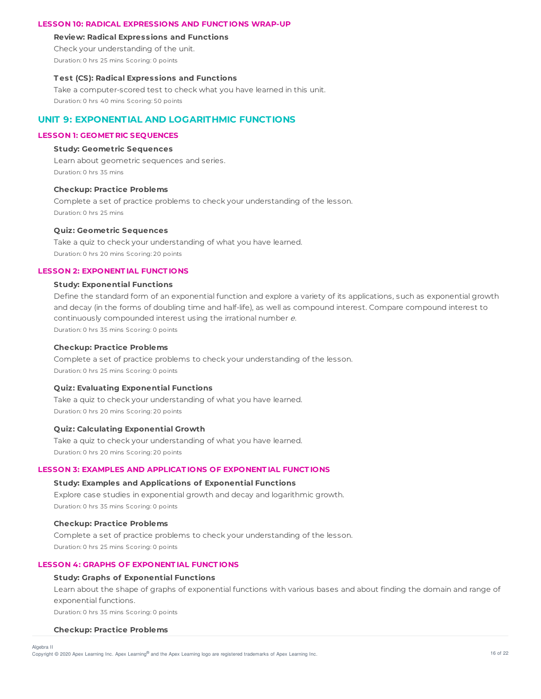### **LESSON 10: RADICAL EXPRESSIONS AND FUNCT IONS WRAP-UP**

#### **Review: Radical Expressions and Functions**

Check your understanding of the unit.

Duration: 0 hrs 25 mins Scoring: 0 points

### **T est (CS): Radical Expressions and Functions**

Take a computer-scored test to check what you have learned in this unit. Duration: 0 hrs 40 mins Scoring: 50 points

# **UNIT 9: EXPONENTIAL AND LOGARITHMIC FUNCTIONS**

### **LESSON 1: GEOMET RIC SEQUENCES**

### **Study: Geometric Sequences**

Learn about geometric sequences and series. Duration: 0 hrs 35 mins

### **Checkup: Practice Problems**

Complete a set of practice problems to check your understanding of the lesson. Duration: 0 hrs 25 mins

### **Quiz: Geometric Sequences**

Take a quiz to check your understanding of what you have learned. Duration: 0 hrs 20 mins Scoring: 20 points

# **LESSON 2: EXPONENT IAL FUNCT IONS**

## **Study: Exponential Functions**

Define the standard form of an exponential function and explore a variety of its applications, such as exponential growth and decay (in the forms of doubling time and half-life), as well as compound interest. Compare compound interest to continuously compounded interest using the irrational number <sup>e</sup>.

Duration: 0 hrs 35 mins Scoring: 0 points

### **Checkup: Practice Problems**

Complete a set of practice problems to check your understanding of the lesson. Duration: 0 hrs 25 mins Scoring: 0 points

### **Quiz: Evaluating Exponential Functions**

Take a quiz to check your understanding of what you have learned. Duration: 0 hrs 20 mins Scoring: 20 points

# **Quiz: Calculating Exponential Growth**

Take a quiz to check your understanding of what you have learned. Duration: 0 hrs 20 mins Scoring: 20 points

### **LESSON 3: EXAMPLES AND APPLICAT IONS OF EXPONENT IAL FUNCT IONS**

## **Study: Examples and Applications of Exponential Functions**

Explore case studies in exponential growth and decay and logarithmic growth. Duration: 0 hrs 35 mins Scoring: 0 points

#### **Checkup: Practice Problems**

Complete a set of practice problems to check your understanding of the lesson. Duration: 0 hrs 25 mins Scoring: 0 points

# **LESSON 4: GRAPHS OF EXPONENT IAL FUNCT IONS**

### **Study: Graphs of Exponential Functions**

Learn about the shape of graphs of exponential functions with various bases and about finding the domain and range of exponential functions.

Duration: 0 hrs 35 mins Scoring: 0 points

#### **Checkup: Practice Problems**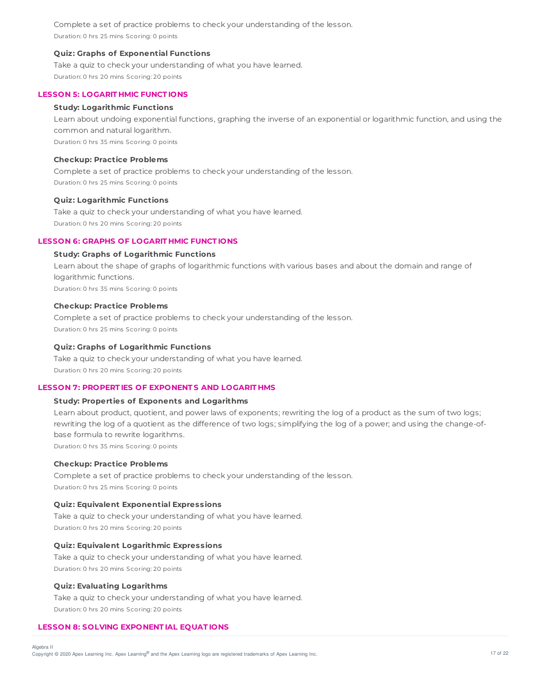Complete a set of practice problems to check your understanding of the lesson. Duration: 0 hrs 25 mins Scoring: 0 points

### **Quiz: Graphs of Exponential Functions**

Take a quiz to check your understanding of what you have learned. Duration: 0 hrs 20 mins Scoring: 20 points

### **LESSON 5: LOGARIT HMIC FUNCT IONS**

### **Study: Logarithmic Functions**

Learn about undoing exponential functions, graphing the inverse of an exponential or logarithmic function, and using the common and natural logarithm. Duration: 0 hrs 35 mins Scoring: 0 points

**Checkup: Practice Problems**

Complete a set of practice problems to check your understanding of the lesson. Duration: 0 hrs 25 mins Scoring: 0 points

### **Quiz: Logarithmic Functions**

Take a quiz to check your understanding of what you have learned. Duration: 0 hrs 20 mins Scoring: 20 points

### **LESSON 6: GRAPHS OF LOGARIT HMIC FUNCT IONS**

### **Study: Graphs of Logarithmic Functions**

Learn about the shape of graphs of logarithmic functions with various bases and about the domain and range of logarithmic functions. Duration: 0 hrs 35 mins Scoring: 0 points

### **Checkup: Practice Problems**

Complete a set of practice problems to check your understanding of the lesson. Duration: 0 hrs 25 mins Scoring: 0 points

#### **Quiz: Graphs of Logarithmic Functions**

Take a quiz to check your understanding of what you have learned. Duration: 0 hrs 20 mins Scoring: 20 points

# **LESSON 7: PROPERT IES OF EXPONENT S AND LOGARIT HMS**

### **Study: Properties of Exponents and Logarithms**

Learn about product, quotient, and power laws of exponents; rewriting the log of a product as the sum of two logs; rewriting the log of a quotient as the difference of two logs; simplifying the log of a power; and using the change-ofbase formula to rewrite logarithms. Duration: 0 hrs 35 mins Scoring: 0 points

#### **Checkup: Practice Problems**

Complete a set of practice problems to check your understanding of the lesson. Duration: 0 hrs 25 mins Scoring: 0 points

## **Quiz: Equivalent Exponential Expressions**

Take a quiz to check your understanding of what you have learned. Duration: 0 hrs 20 mins Scoring: 20 points

# **Quiz: Equivalent Logarithmic Expressions**

Take a quiz to check your understanding of what you have learned. Duration: 0 hrs 20 mins Scoring: 20 points

### **Quiz: Evaluating Logarithms**

Take a quiz to check your understanding of what you have learned. Duration: 0 hrs 20 mins Scoring: 20 points

### **LESSON 8: SOLVING EXPONENT IAL EQUAT IONS**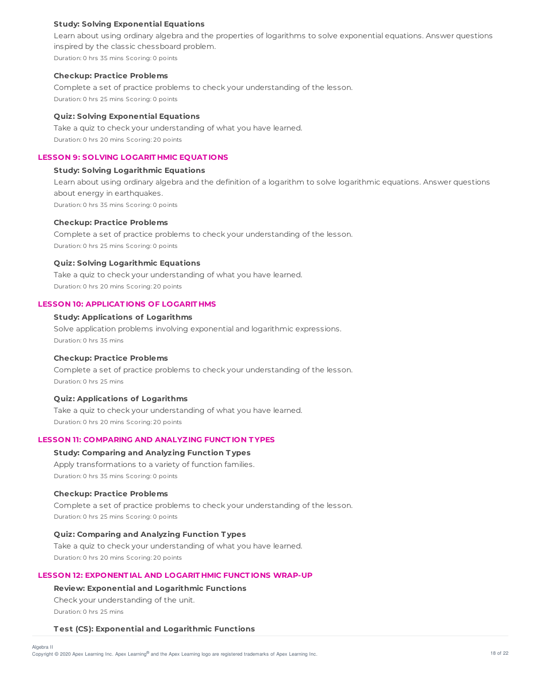### **Study: Solving Exponential Equations**

Learn about using ordinary algebra and the properties of logarithms to solve exponential equations. Answer questions inspired by the classic chessboard problem. Duration: 0 hrs 35 mins Scoring: 0 points

#### **Checkup: Practice Problems**

Complete a set of practice problems to check your understanding of the lesson. Duration: 0 hrs 25 mins Scoring: 0 points

### **Quiz: Solving Exponential Equations**

Take a quiz to check your understanding of what you have learned. Duration: 0 hrs 20 mins Scoring: 20 points

### **LESSON 9: SOLVING LOGARIT HMIC EQUAT IONS**

## **Study: Solving Logarithmic Equations**

Learn about using ordinary algebra and the definition of a logarithm to solve logarithmic equations. Answer questions about energy in earthquakes. Duration: 0 hrs 35 mins Scoring: 0 points

### **Checkup: Practice Problems**

Complete a set of practice problems to check your understanding of the lesson. Duration: 0 hrs 25 mins Scoring: 0 points

### **Quiz: Solving Logarithmic Equations**

Take a quiz to check your understanding of what you have learned. Duration: 0 hrs 20 mins Scoring: 20 points

### **LESSON 10: APPLICAT IONS OF LOGARIT HMS**

## **Study: Applications of Logarithms**

Solve application problems involving exponential and logarithmic expressions. Duration: 0 hrs 35 mins

### **Checkup: Practice Problems**

Complete a set of practice problems to check your understanding of the lesson. Duration: 0 hrs 25 mins

### **Quiz: Applications of Logarithms**

Take a quiz to check your understanding of what you have learned. Duration: 0 hrs 20 mins Scoring: 20 points

## **LESSON 11: COMPARING AND ANALYZING FUNCT ION T YPES**

# **Study: Comparing and Analyzing Function T ypes**

Apply transformations to a variety of function families. Duration: 0 hrs 35 mins Scoring: 0 points

### **Checkup: Practice Problems**

Complete a set of practice problems to check your understanding of the lesson. Duration: 0 hrs 25 mins Scoring: 0 points

### **Quiz: Comparing and Analyzing Function T ypes**

Take a quiz to check your understanding of what you have learned. Duration: 0 hrs 20 mins Scoring: 20 points

### **LESSON 12: EXPONENT IAL AND LOGARIT HMIC FUNCT IONS WRAP-UP**

### **Review: Exponential and Logarithmic Functions**

Check your understanding of the unit. Duration: 0 hrs 25 mins

#### **T est (CS): Exponential and Logarithmic Functions**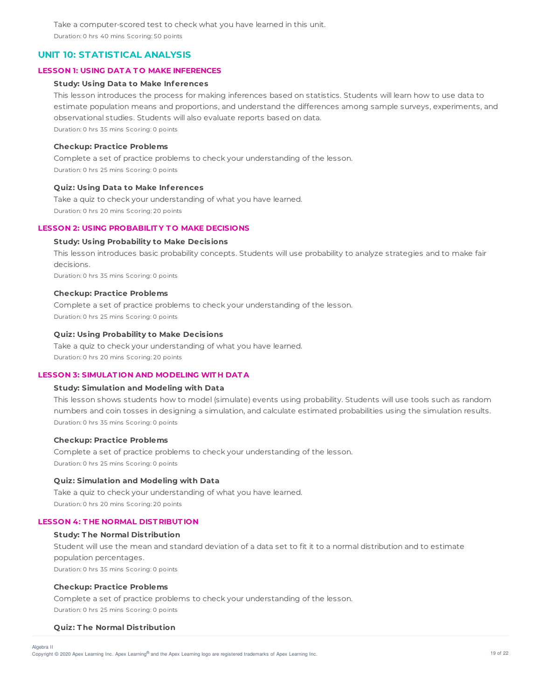Take a computer-scored test to check what you have learned in this unit. Duration: 0 hrs 40 mins Scoring: 50 points

# **UNIT 10: STATISTICAL ANALYSIS**

### **LESSON 1: USING DAT A T O MAKE INFERENCES**

### **Study: Using Data to Make Inferences**

This lesson introduces the process for making inferences based on statistics. Students will learn how to use data to estimate population means and proportions, and understand the differences among sample surveys, experiments, and observational studies. Students will also evaluate reports based on data. Duration: 0 hrs 35 mins Scoring: 0 points

### **Checkup: Practice Problems**

Complete a set of practice problems to check your understanding of the lesson. Duration: 0 hrs 25 mins Scoring: 0 points

### **Quiz: Using Data to Make Inferences**

Take a quiz to check your understanding of what you have learned. Duration: 0 hrs 20 mins Scoring: 20 points

### **LESSON 2: USING PROBABILIT Y T O MAKE DECISIONS**

### **Study: Using Probability to Make Decisions**

This lesson introduces basic probability concepts. Students will use probability to analyze strategies and to make fair decisions. Duration: 0 hrs 35 mins Scoring: 0 points

#### **Checkup: Practice Problems**

Complete a set of practice problems to check your understanding of the lesson. Duration: 0 hrs 25 mins Scoring: 0 points

### **Quiz: Using Probability to Make Decisions**

Take a quiz to check your understanding of what you have learned. Duration: 0 hrs 20 mins Scoring: 20 points

### **LESSON 3: SIMULAT ION AND MODELING WIT H DAT A**

### **Study: Simulation and Modeling with Data**

This lesson shows students how to model (simulate) events using probability. Students will use tools such as random numbers and coin tosses in designing a simulation, and calculate estimated probabilities using the simulation results. Duration: 0 hrs 35 mins Scoring: 0 points

#### **Checkup: Practice Problems**

Complete a set of practice problems to check your understanding of the lesson. Duration: 0 hrs 25 mins Scoring: 0 points

#### **Quiz: Simulation and Modeling with Data**

Take a quiz to check your understanding of what you have learned.

Duration: 0 hrs 20 mins Scoring: 20 points

### **LESSON 4: T HE NORMAL DIST RIBUT ION**

### **Study: T he Normal Distribution**

Student will use the mean and standard deviation of a data set to fit it to a normal distribution and to estimate population percentages. Duration: 0 hrs 35 mins Scoring: 0 points

### **Checkup: Practice Problems**

Complete a set of practice problems to check your understanding of the lesson. Duration: 0 hrs 25 mins Scoring: 0 points

### **Quiz: T he Normal Distribution**

Algebra II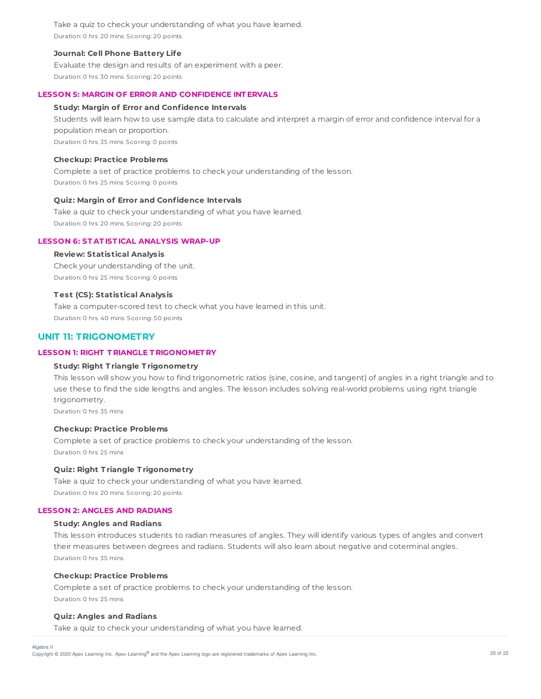Take a quiz to check your understanding of what you have learned. Duration: 0 hrs 20 mins Scoring: 20 points

### **Journal: Cell Phone Battery Life**

Evaluate the design and results of an experiment with a peer. Duration: 0 hrs 30 mins Scoring: 20 points

# **LESSON 5: MARGIN OF ERROR AND CONFIDENCE INT ERVALS**

### **Study: Margin of Error and Confidence Intervals**

Students will learn how to use sample data to calculate and interpret a margin of error and confidence interval for a population mean or proportion. Duration: 0 hrs 35 mins Scoring: 0 points

## **Checkup: Practice Problems**

Complete a set of practice problems to check your understanding of the lesson. Duration: 0 hrs 25 mins Scoring: 0 points

### **Quiz: Margin of Error and Confidence Intervals**

Take a quiz to check your understanding of what you have learned. Duration: 0 hrs 20 mins Scoring: 20 points

### **LESSON 6: ST AT IST ICAL ANALYSIS WRAP-UP**

### **Review: Statistical Analysis**

Check your understanding of the unit. Duration: 0 hrs 25 mins Scoring: 0 points

### **T est (CS): Statistical Analysis**

Take a computer-scored test to check what you have learned in this unit. Duration: 0 hrs 40 mins Scoring: 50 points

# **UNIT 11: TRIGONOMETRY**

# **LESSON 1: RIGHT T RIANGLE T RIGONOMET RY**

#### **Study: Right T riangle T rigonometry**

This lesson will show you how to find trigonometric ratios (sine, cosine, and tangent) of angles in a right triangle and to use these to find the side lengths and angles. The lesson includes solving real-world problems using right triangle trigonometry.

Duration: 0 hrs 35 mins

### **Checkup: Practice Problems**

Complete a set of practice problems to check your understanding of the lesson. Duration: 0 hrs 25 mins

### **Quiz: Right T riangle T rigonometry**

Take a quiz to check your understanding of what you have learned. Duration: 0 hrs 20 mins Scoring: 20 points

### **LESSON 2: ANGLES AND RADIANS**

### **Study: Angles and Radians**

This lesson introduces students to radian measures of angles. They will identify various types of angles and convert their measures between degrees and radians. Students will also learn about negative and coterminal angles. Duration: 0 hrs 35 mins

#### **Checkup: Practice Problems**

Complete a set of practice problems to check your understanding of the lesson. Duration: 0 hrs 25 mins

### **Quiz: Angles and Radians**

Algebra II

Take a quiz to check your understanding of what you have learned.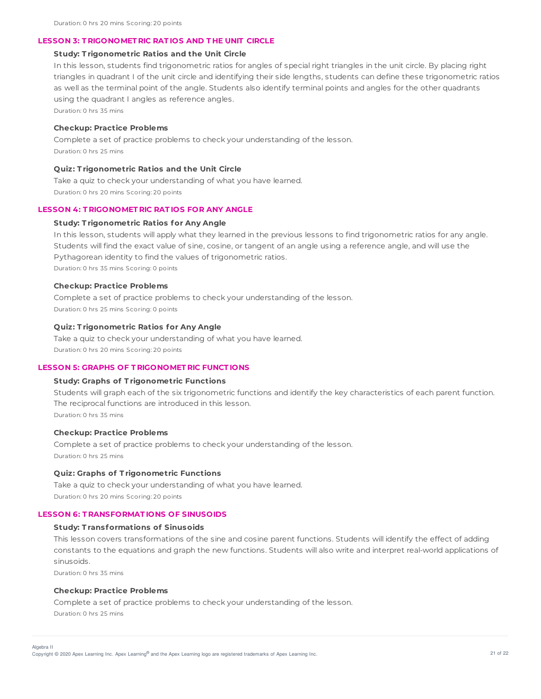### **LESSON 3: T RIGONOMET RIC RAT IOS AND T HE UNIT CIRCLE**

### **Study: T rigonometric Ratios and the Unit Circle**

In this lesson, students find trigonometric ratios for angles of special right triangles in the unit circle. By placing right triangles in quadrant I of the unit circle and identifying their side lengths, students can define these trigonometric ratios as well as the terminal point of the angle. Students also identify terminal points and angles for the other quadrants using the quadrant I angles as reference angles.

Duration: 0 hrs 35 mins

### **Checkup: Practice Problems**

Complete a set of practice problems to check your understanding of the lesson. Duration: 0 hrs 25 mins

### **Quiz: T rigonometric Ratios and the Unit Circle**

Take a quiz to check your understanding of what you have learned. Duration: 0 hrs 20 mins Scoring: 20 points

### **LESSON 4: T RIGONOMET RIC RAT IOS FOR ANY ANGLE**

### **Study: T rigonometric Ratios for Any Angle**

In this lesson, students will apply what they learned in the previous lessons to find trigonometric ratios for any angle. Students will find the exact value of sine, cosine, or tangent of an angle using a reference angle, and will use the Pythagorean identity to find the values of trigonometric ratios. Duration: 0 hrs 35 mins Scoring: 0 points

#### **Checkup: Practice Problems**

Complete a set of practice problems to check your understanding of the lesson. Duration: 0 hrs 25 mins Scoring: 0 points

### **Quiz: T rigonometric Ratios for Any Angle**

Take a quiz to check your understanding of what you have learned. Duration: 0 hrs 20 mins Scoring: 20 points

#### **LESSON 5: GRAPHS OF T RIGONOMET RIC FUNCT IONS**

### **Study: Graphs of T rigonometric Functions**

Students will graph each of the six trigonometric functions and identify the key characteristics of each parent function. The reciprocal functions are introduced in this lesson. Duration: 0 hrs 35 mins

#### **Checkup: Practice Problems**

Complete a set of practice problems to check your understanding of the lesson. Duration: 0 hrs 25 mins

### **Quiz: Graphs of T rigonometric Functions**

Take a quiz to check your understanding of what you have learned. Duration: 0 hrs 20 mins Scoring: 20 points

#### **LESSON 6: T RANSFORMAT IONS OF SINUSOIDS**

### **Study: T ransformations of Sinusoids**

This lesson covers transformations of the sine and cosine parent functions. Students will identify the effect of adding constants to the equations and graph the new functions. Students will also write and interpret real-world applications of sinusoids.

Duration: 0 hrs 35 mins

Algebra II

### **Checkup: Practice Problems**

Complete a set of practice problems to check your understanding of the lesson. Duration: 0 hrs 25 mins